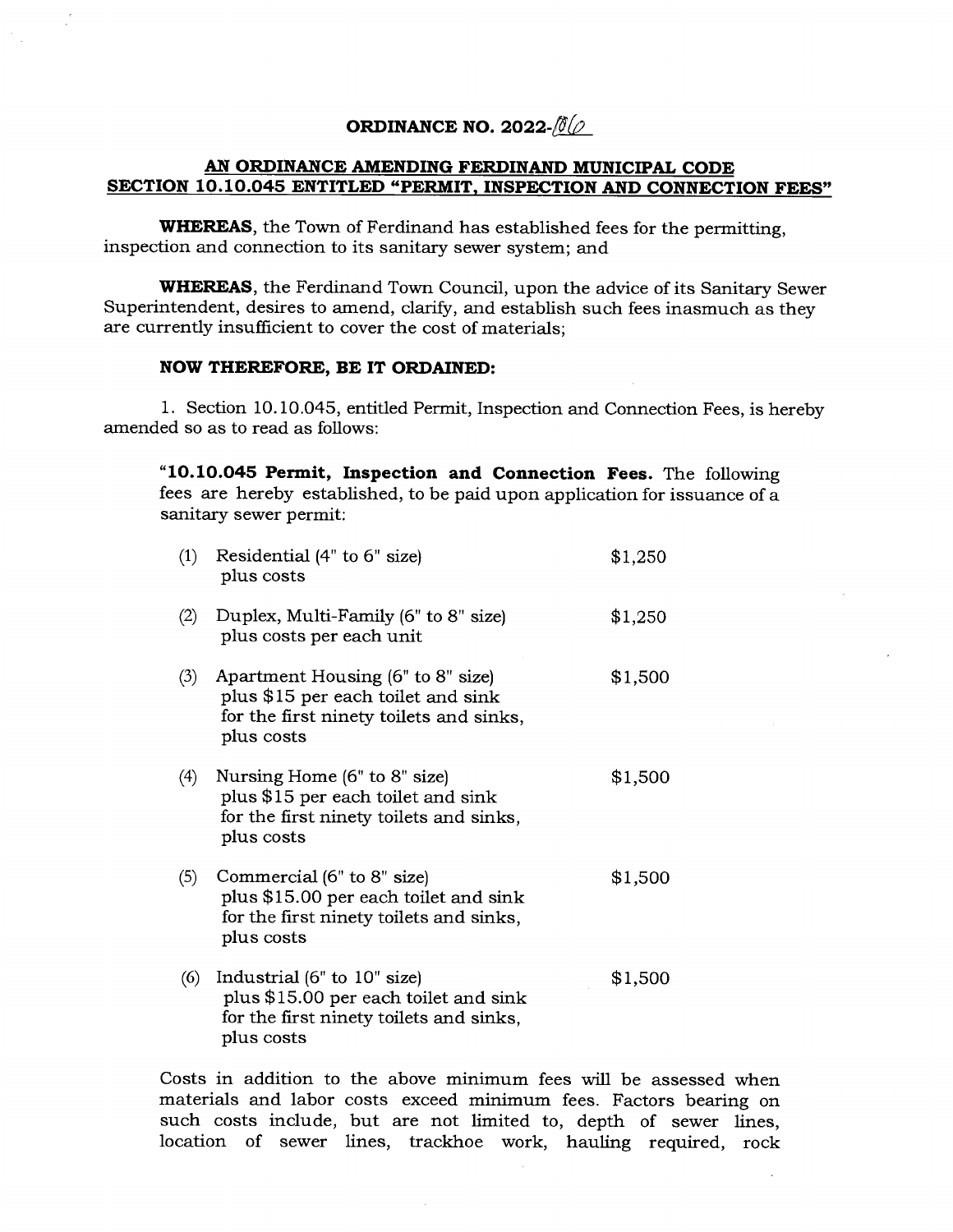## **ORDINANCE NO. 2022-** $\frac{\partial (\theta)}{\partial \theta}$

## **AN ORDINANCE AMENDING FERDINAND MUNICIPAL CODE SECTION 10.10.045 ENTITLED "PERMIT, INSPECTION AND CONNECTION FEES"**

**WHEREAS,** the Town of Ferdinand has established fees for the permitting, inspection and connection to its sanitary sewer system; and

**WHEREAS,** the Ferdinand Town Council, upon the advice of its Sanitary Sewer Superintendent, desires to amend, clarify, and establish such fees inasmuch as they are currently insufficient to cover the cost of materials;

## **NOW THEREFORE, BE IT ORDAINED:**

1. Section 10.10.045, entitled Permit, Inspection and Connection Fees, is hereby amended so as to read as follows:

**10.10.045 Perrnit, Inspection and Connection Fees.** The following fees are hereby established, to be paid upon application for issuance of a sanitary sewer permit:

| (1) | Residential (4" to 6" size)<br>plus costs                                                                                         | \$1,250 |
|-----|-----------------------------------------------------------------------------------------------------------------------------------|---------|
| (2) | Duplex, Multi-Family (6" to 8" size)<br>plus costs per each unit                                                                  | \$1,250 |
| (3) | Apartment Housing (6" to 8" size)<br>plus \$15 per each toilet and sink<br>for the first ninety toilets and sinks,<br>plus costs  | \$1,500 |
| (4) | Nursing Home (6" to 8" size)<br>plus \$15 per each toilet and sink<br>for the first ninety toilets and sinks,<br>plus costs       | \$1,500 |
| (5) | Commercial (6" to 8" size)<br>plus \$15.00 per each toilet and sink<br>for the first ninety toilets and sinks,<br>plus costs      | \$1,500 |
| (6) | Industrial $(6"$ to $10"$ size)<br>plus \$15.00 per each toilet and sink<br>for the first ninety toilets and sinks,<br>plus costs | \$1,500 |

Costs in addition to the above minimum fees will be assessed when materials and labor costs exceed minimum fees. Factors bearing on such costs include, but are not limited to, depth of sewer lines, location of sewer lines, trackhoe work, hauling required, rock